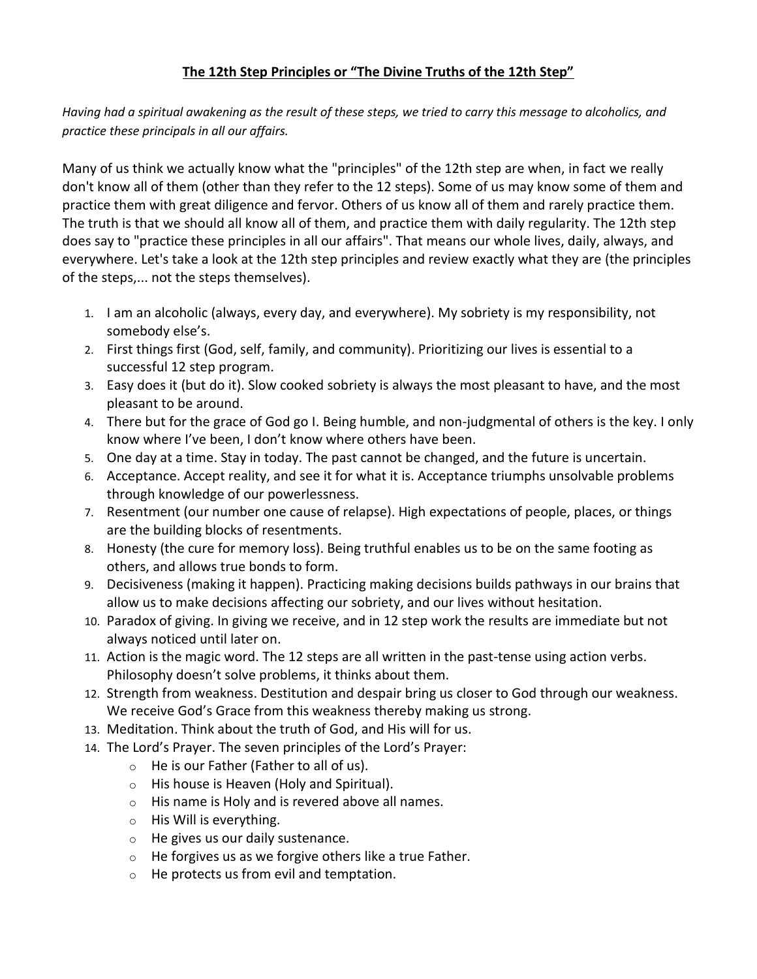## **The 12th Step Principles or "The Divine Truths of the 12th Step"**

*Having had a spiritual awakening as the result of these steps, we tried to carry this message to alcoholics, and practice these principals in all our affairs.*

Many of us think we actually know what the "principles" of the 12th step are when, in fact we really don't know all of them (other than they refer to the 12 steps). Some of us may know some of them and practice them with great diligence and fervor. Others of us know all of them and rarely practice them. The truth is that we should all know all of them, and practice them with daily regularity. The 12th step does say to "practice these principles in all our affairs". That means our whole lives, daily, always, and everywhere. Let's take a look at the 12th step principles and review exactly what they are (the principles of the steps,... not the steps themselves).

- 1. I am an alcoholic (always, every day, and everywhere). My sobriety is my responsibility, not somebody else's.
- 2. First things first (God, self, family, and community). Prioritizing our lives is essential to a successful 12 step program.
- 3. Easy does it (but do it). Slow cooked sobriety is always the most pleasant to have, and the most pleasant to be around.
- 4. There but for the grace of God go I. Being humble, and non-judgmental of others is the key. I only know where I've been, I don't know where others have been.
- 5. One day at a time. Stay in today. The past cannot be changed, and the future is uncertain.
- 6. Acceptance. Accept reality, and see it for what it is. Acceptance triumphs unsolvable problems through knowledge of our powerlessness.
- 7. Resentment (our number one cause of relapse). High expectations of people, places, or things are the building blocks of resentments.
- 8. Honesty (the cure for memory loss). Being truthful enables us to be on the same footing as others, and allows true bonds to form.
- 9. Decisiveness (making it happen). Practicing making decisions builds pathways in our brains that allow us to make decisions affecting our sobriety, and our lives without hesitation.
- 10. Paradox of giving. In giving we receive, and in 12 step work the results are immediate but not always noticed until later on.
- 11. Action is the magic word. The 12 steps are all written in the past-tense using action verbs. Philosophy doesn't solve problems, it thinks about them.
- 12. Strength from weakness. Destitution and despair bring us closer to God through our weakness. We receive God's Grace from this weakness thereby making us strong.
- 13. Meditation. Think about the truth of God, and His will for us.
- 14. The Lord's Prayer. The seven principles of the Lord's Prayer:
	- o He is our Father (Father to all of us).
	- o His house is Heaven (Holy and Spiritual).
	- $\circ$  His name is Holy and is revered above all names.
	- o His Will is everything.
	- o He gives us our daily sustenance.
	- $\circ$  He forgives us as we forgive others like a true Father.
	- o He protects us from evil and temptation.